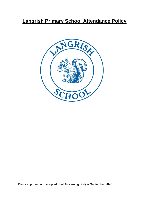# **Langrish Primary School Attendance Policy**



Policy approved and adopted: Full Governing Body – September 2020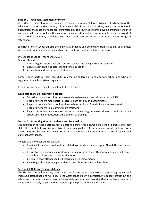## **Section 1: Rationale/Statement of Intent**

Attendance is central to raising standards in education for our children. To take full advantage of the educational opportunities offered, it is vital your child is at school, on time, every day the school is open unless the reason for absence is unavoidable. The routines children develop around attendance and punctuality at school are the same as the expectations of any future employer in the world of work. High attainment, confidence with peers and staff and future aspirations depend on good attendance.

Langrish Primary School expects the highest attendance and punctuality from all pupils, at all times. We support pupils and their families to ensure that excellent attendance is achieved.

DfE Guidance School Attendance (2014): Schools should:

- 1. Promote good attendance and reduce absence, including persistent absence
- 2. Ensure every child has access to full time education
- 3. Act early to address patterns of absence

Parents must perform their legal duty by ensuring children of a compulsory school age who are registered to a school attend regularly.

In addition, all pupils must be punctual to their lessons.

#### **Good attendance is important because:**

- Statistics show a direct link between under-achievement and absence below 95%
- Regular attenders make better progress, both socially and academically
- Regular attenders find school routines, school work and friendships easier to cope with
- Regular attenders find learning more satisfying
- Regular attenders are more successful in transferring between primary school, secondary school and higher education, employment or training

#### **Section 2: Promoting Good Attendance and Punctuality**

The foundation for good attendance is a strong partnership between the school, parents and their child. It is our duty to consistently strive to achieve a goal of 100% attendance for all children. Every opportunity will be used to convey to pupils and parents or carers the importance of regular and punctual attendance.

To help us all to focus on this we will:

- Provide information on all matters related to attendance in our regular Newsletter and on our website
- Report to you on your child performing in school, what their attendance and punctuality rate is and how this relates to their attainments
- Celebrate good attendance by displaying class achievements
- Reward good or improving attendance through Attendance Golden Time

#### **Section 2.2 Role and Responsibilities**

The Headteacher will oversee, direct and co-ordinate the school's work in promoting regular and improved attendance and will ensure the Attendance Policy is consistently applied throughout the school and that attendance is recorded accurately and analysed, ensuring that attendance issues are identified at an early stage and that support is put in place with any difficulties.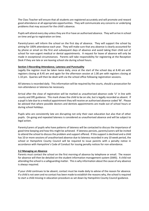The Class Teacher will ensure that all students are registered accurately and will promote and reward good attendance at all appropriate opportunities. They will communicate any concerns or underlying problems that may account for the child's absence.

Pupils will attend every day unless they are ill or have an authorised absence. They will arrive in school on time and go to registration on time.

Parents/carers will inform the school on the first day of absence. They will support the school by aiming for 100% attendance each year. They will make sure that any absence is clearly accounted for by phone or email on the first and subsequent days of absence and avoid taking their child out of school for non-urgent medical or dental appointments. A request for leave of absence will only be made in exceptional circumstances. Parents will take responsibility for registering at the Reception Desk if they are late or are leaving school site during school hours.

#### **Section 3 Recording Attendance, Lateness and Punctuality**

Legally the register must be taken twice daily, once at the start of the school day at 8.40 am with registers closing at 8.45 am and again for the afternoon session at 1.00 pm with registers closing at 1.10 pm. Queries will then be dealt with via the school office following registration sessions.

All lateness is recorded daily. This information will be required by the courts, should a prosecution for non-attendance or lateness be necessary.

Arrival after the close of registration will be marked as unauthorised absence code 'U' in line with county and DfE guidance. This mark shows the child to be on site, but is legally recorded as absent. If a pupil is late due to a medical appointment they will receive an authorised absence coded 'M'. Please be advised that where possible doctors and dentists appointments are made out of school hours or during school holidays.

Pupils who are consistently late are disrupting not only their own education but also that of other pupils. On-going and repeated lateness is considered as unauthorised absence and will be subject to legal action.

Parents/carers of pupils who have patterns of lateness will be contacted to discuss the importance of good time keeping and how this might be achieved. If lateness persists, parents/carers will be invited to attend the school to discuss the problem and support offered. If this support is declined and a child has 10 or more sessions of unauthorised absence due to lateness recorded in any 10 week period, the school or Hampshire County Council will be required to issue parents with a penalty notice in accordance with Hampshire's Code of Conduct for issuing penalty notices for non-attendance.

#### **3.2 Managing an Absence**

Parents must contact the school on the first morning of absence by telephone or email. The reason for absence will then be detailed on the student information management system (SiMS). A child not attending the school is a safeguarding matter. This is why information about the cause of any absence is always required.

If your child continues to be absent, contact must be made daily to advise of the reason for absence. If a child is not seen and no contact has been made to establish the reasons why, the school is required to start a child missing in education procedure as set down by Hampshire County Council guidance.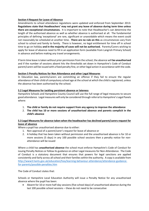## **Section 4 Request for Leave of Absence**

Amendments to school attendance regulations were updated and enforced from September 2013: **Regulations state that Headteachers' may not grant any leave of absence during term time unless there are exceptional circumstances.** It is important to note that Headteacher's can determine the length of the authorised absence as well as whether absence is authorised at all. The fundamental principles of defining 'exceptional' are rare, significant or unavoidable which means the event could not reasonably be scheduled at another time. **There are no rule on this** as circumstances vary from school to school and family to family. There is however, no legal entitlement for time off in school time to go on holiday **and in the majority of cases will not be authorised.** Parents/Carers wishing to apply for leave of absence need to fill in an application form (available from Langrish Primary School) in advance and before making any travel arrangements.

If term time leave is taken without prior permission from the school, the absence will **be unauthorised** and if the number of sessions absent hits the thresholds set down in Hampshire's Code of Conduct parent/carers will be issued with a fixed penalty fine, or other legal action in accordance with the code.

# **Section 5 Penalty Notices for Non Attendance and other Legal Measures**

In Education law, parents/carers are committing an offence if they fail to ensure the regular attendance of their child of compulsory school age at the school at which the child is registered, unless the absence has been authorised by the school.

## **5.2 Legal Measures for tackling persistent absence or lateness**

Hampshire Schools and Hampshire County Council will use the full range of legal measures to secure good attendance. Legal measures will only be considered through referral to Hampshire's Legal Panels where:

- 1. **The child or family do not require support from any agency to improve the attendance**
- 2. **The child has 10 or more sessions of unauthorised absence and parents complicit in the child's absence**

# **5.3 Legal Measures for absence taken when the headteacher has declined parent/carers request for leave of absence**

Where a pupil has unauthorised absence due to either:

- 1. Non approval of a parent/carer's request for leave of absence or
- 2. A holiday that has been taken without permission and the unauthorised absence is for 10 or more sessions (5 days) in any 100 possible school sessions then a penalty notice for nonattendance will be issued

Where a child has **unauthorised absence** the school must enforce Hampshire's Code of Conduct for issuing Penalty Notices or follow its guidance on other Legal measures for Non-Attendance. The Code of Conduct is a statutory document that ensures that powers for legal sanctions are applied consistently and fairly across all school and their families within the authority. A copy is available from [http://www3.hants.gov.uk/education/hias/learning-behaviour-attendance/attendance-guidance](http://www3.hants.gov.uk/education/hias/learning-behaviour-attendance/attendance-guidance-for-parents/possible-penalties.htm)[for-parents/possible-penalties.htm](http://www3.hants.gov.uk/education/hias/learning-behaviour-attendance/attendance-guidance-for-parents/possible-penalties.htm)

The Code of Conduct states that:

Schools or Hampshire Local Education Authority will issue a Penalty Notice for any unauthorised absence where the pupil has been:

 Absent for 10 or more half-day sessions (five school days) of unauthorised absence during the last 100 possible school sessions – these do not need to be consecutive